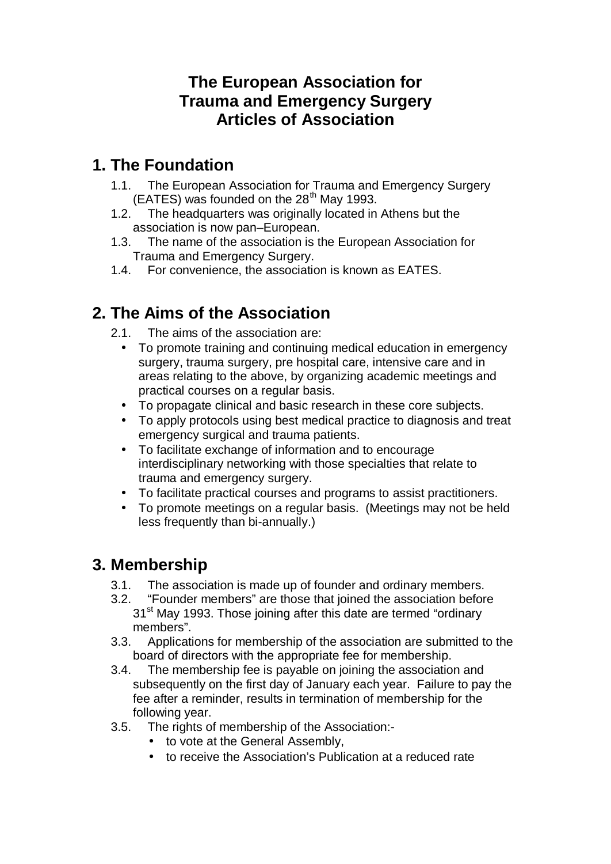### **The European Association for Trauma and Emergency Surgery Articles of Association**

## **1. The Foundation**

- 1.1. The European Association for Trauma and Emergency Surgery  $(EATES)$  was founded on the 28<sup>th</sup> May 1993.
- 1.2. The headquarters was originally located in Athens but the association is now pan–European.
- 1.3. The name of the association is the European Association for Trauma and Emergency Surgery.
- 1.4. For convenience, the association is known as EATES.

# **2. The Aims of the Association**

- 2.1. The aims of the association are:
	- To promote training and continuing medical education in emergency surgery, trauma surgery, pre hospital care, intensive care and in areas relating to the above, by organizing academic meetings and practical courses on a regular basis.
	- To propagate clinical and basic research in these core subjects.
	- To apply protocols using best medical practice to diagnosis and treat emergency surgical and trauma patients.
	- To facilitate exchange of information and to encourage interdisciplinary networking with those specialties that relate to trauma and emergency surgery.
	- To facilitate practical courses and programs to assist practitioners.
	- To promote meetings on a regular basis. (Meetings may not be held less frequently than bi-annually.)

### **3. Membership**

- 3.1. The association is made up of founder and ordinary members.
- 3.2. "Founder members" are those that joined the association before 31<sup>st</sup> May 1993. Those joining after this date are termed "ordinary members".
- 3.3. Applications for membership of the association are submitted to the board of directors with the appropriate fee for membership.
- 3.4. The membership fee is payable on joining the association and subsequently on the first day of January each year. Failure to pay the fee after a reminder, results in termination of membership for the following year.
- 3.5. The rights of membership of the Association:-
	- to vote at the General Assembly,
	- to receive the Association's Publication at a reduced rate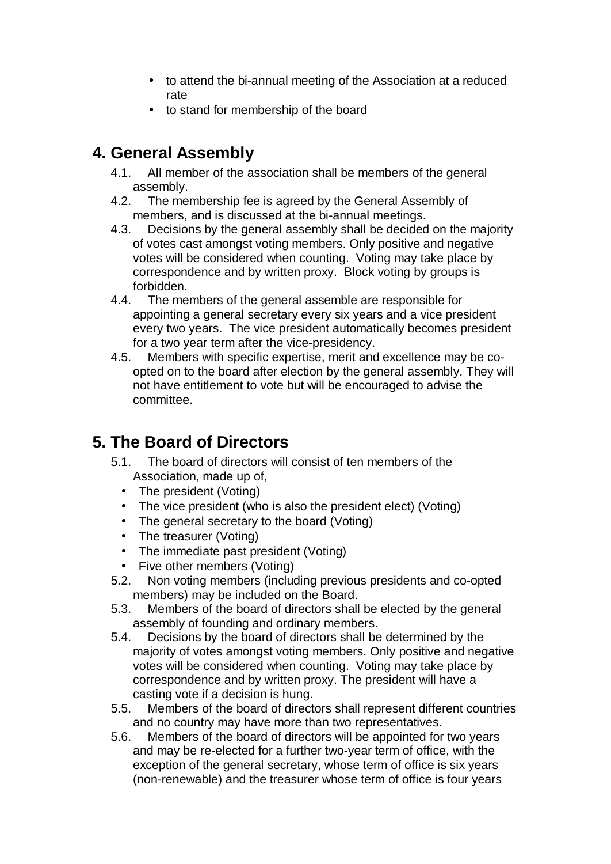- to attend the bi-annual meeting of the Association at a reduced rate
- to stand for membership of the board

### **4. General Assembly**

- 4.1. All member of the association shall be members of the general assembly.
- 4.2. The membership fee is agreed by the General Assembly of members, and is discussed at the bi-annual meetings.
- 4.3. Decisions by the general assembly shall be decided on the majority of votes cast amongst voting members. Only positive and negative votes will be considered when counting. Voting may take place by correspondence and by written proxy. Block voting by groups is forbidden.
- 4.4. The members of the general assemble are responsible for appointing a general secretary every six years and a vice president every two years. The vice president automatically becomes president for a two year term after the vice-presidency.
- 4.5. Members with specific expertise, merit and excellence may be coopted on to the board after election by the general assembly. They will not have entitlement to vote but will be encouraged to advise the committee.

### **5. The Board of Directors**

- 5.1. The board of directors will consist of ten members of the Association, made up of,
	- The president (Voting)
	- The vice president (who is also the president elect) (Voting)
	- The general secretary to the board (Voting)
	- The treasurer (Voting)
	- The immediate past president (Voting)
	- Five other members (Voting)
- 5.2. Non voting members (including previous presidents and co-opted members) may be included on the Board.
- 5.3. Members of the board of directors shall be elected by the general assembly of founding and ordinary members.
- 5.4. Decisions by the board of directors shall be determined by the majority of votes amongst voting members. Only positive and negative votes will be considered when counting. Voting may take place by correspondence and by written proxy. The president will have a casting vote if a decision is hung.
- 5.5. Members of the board of directors shall represent different countries and no country may have more than two representatives.
- 5.6. Members of the board of directors will be appointed for two years and may be re-elected for a further two-year term of office, with the exception of the general secretary, whose term of office is six years (non-renewable) and the treasurer whose term of office is four years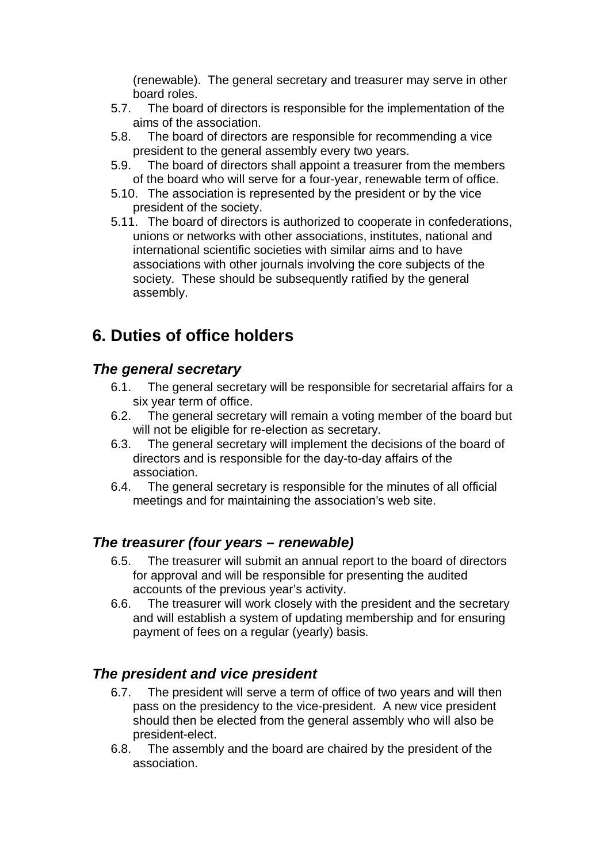(renewable). The general secretary and treasurer may serve in other board roles.

- 5.7. The board of directors is responsible for the implementation of the aims of the association.
- 5.8. The board of directors are responsible for recommending a vice president to the general assembly every two years.
- 5.9. The board of directors shall appoint a treasurer from the members of the board who will serve for a four-year, renewable term of office.
- 5.10. The association is represented by the president or by the vice president of the society.
- 5.11. The board of directors is authorized to cooperate in confederations, unions or networks with other associations, institutes, national and international scientific societies with similar aims and to have associations with other journals involving the core subjects of the society. These should be subsequently ratified by the general assembly.

### **6. Duties of office holders**

#### *The general secretary*

- 6.1. The general secretary will be responsible for secretarial affairs for a six year term of office.
- 6.2. The general secretary will remain a voting member of the board but will not be eligible for re-election as secretary.
- 6.3. The general secretary will implement the decisions of the board of directors and is responsible for the day-to-day affairs of the association.
- 6.4. The general secretary is responsible for the minutes of all official meetings and for maintaining the association's web site.

#### *The treasurer (four years – renewable)*

- 6.5. The treasurer will submit an annual report to the board of directors for approval and will be responsible for presenting the audited accounts of the previous year's activity.
- 6.6. The treasurer will work closely with the president and the secretary and will establish a system of updating membership and for ensuring payment of fees on a regular (yearly) basis.

#### *The president and vice president*

- 6.7. The president will serve a term of office of two years and will then pass on the presidency to the vice-president. A new vice president should then be elected from the general assembly who will also be president-elect.
- 6.8. The assembly and the board are chaired by the president of the association.